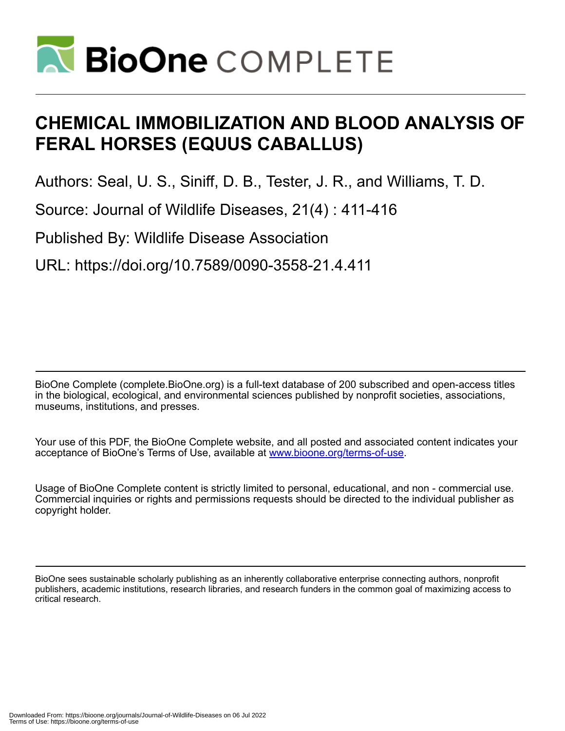

# **CHEMICAL IMMOBILIZATION AND BLOOD ANALYSIS OF FERAL HORSES (EQUUS CABALLUS)**

Authors: Seal, U. S., Siniff, D. B., Tester, J. R., and Williams, T. D.

Source: Journal of Wildlife Diseases, 21(4) : 411-416

Published By: Wildlife Disease Association

URL: https://doi.org/10.7589/0090-3558-21.4.411

BioOne Complete (complete.BioOne.org) is a full-text database of 200 subscribed and open-access titles in the biological, ecological, and environmental sciences published by nonprofit societies, associations, museums, institutions, and presses.

Your use of this PDF, the BioOne Complete website, and all posted and associated content indicates your acceptance of BioOne's Terms of Use, available at www.bioone.org/terms-of-use.

Usage of BioOne Complete content is strictly limited to personal, educational, and non - commercial use. Commercial inquiries or rights and permissions requests should be directed to the individual publisher as copyright holder.

BioOne sees sustainable scholarly publishing as an inherently collaborative enterprise connecting authors, nonprofit publishers, academic institutions, research libraries, and research funders in the common goal of maximizing access to critical research.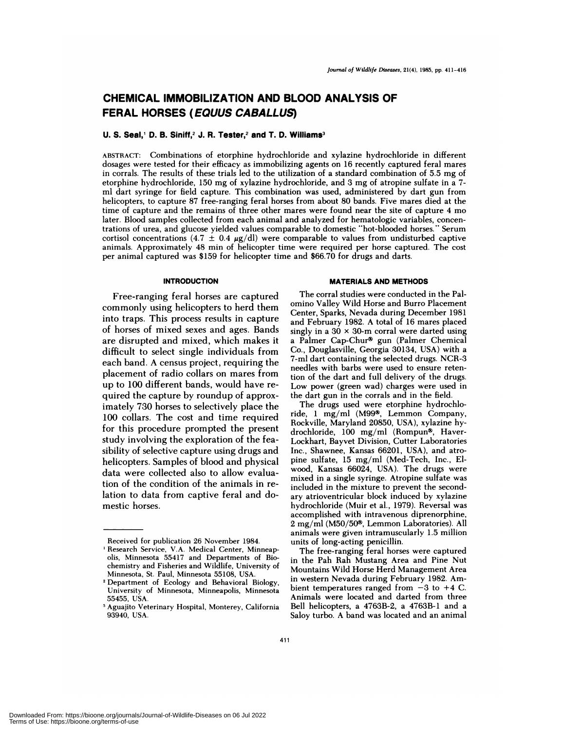# **CHEMICAL IMMOBILIZATION AND BLOOD ANALYSIS OF FERAL HORSES (EOUUS CABALLUS)**

#### **U. S. Seal, D. B. Siniff,2 J. R. Tester,2 and T. D. Williams3**

ABSTRACT: Combinations of etorphine hydrochloride and xylazine hydrochloride in different dosages were tested for their efficacy as immobilizing agents on 16 recently captured feral mares in corrals. The results of these trials led to the utilization of a standard combination of 5.5 mg of etorphine hydrochloride, 150 mg of xylazine hydrochloride, and 3 mg of atropine sulfate in a 7ml dart syringe for field capture. This combination was used, administered by dart gun from helicopters, to capture 87 free-ranging feral horses from about 80 bands. Five mares died at the time of capture and the remains of three other mares were found near the site of capture 4 mo later. Blood samples collected from each animal and analyzed for hematologic variables, concentrations of urea, and glucose yielded values comparable to domestic "hot-blooded horses." Serum cortisol concentrations (4.7  $\pm$  0.4  $\mu$ g/dl) were comparable to values from undisturbed captive animals. Approximately 48 mm of helicopter time were required per horse captured. The cost per animal captured was \$159 for helicopter time and \$66.70 for drugs and darts.

#### **INTRODUCTION**

Free-ranging feral horses are captured commonly using helicopters to herd them into traps. This process results in capture of horses of mixed sexes and ages. Bands are disrupted and mixed, which makes it difficult to select single individuals from each band. A census project, requiring the placement of radio collars on mares from up to 100 different bands, would have re quired the capture by roundup of approximately 730 horses to selectively place the 100 collars. The cost and time required for this procedure prompted the present study involving the exploration of the feasibility of selective capture using drugs and helicopters. Samples of blood and physical data were collected also to allow evaluation of the condition of the animals in relation to data from captive feral and domestic horses.

#### **MATERIALS AND METHODS**

The corral studies were conducted in the Palomino Valley Wild Horse and Burro Placement Center, Sparks, Nevada during December 1981 and February 1982. A total of 16 mares placed singly in a  $30 \times 30$ -m corral were darted using a Palmer Cap-Chur® gun (Palmer Chemical Co., Douglasville, Georgia 30134, USA) with a 7-ml dart containing the selected drugs. NCR-3 needles with barbs were used to ensure retention of the dart and full delivery of the drugs. Low power (green wad) charges were used in the dart gun in the corrals and in the field.

The drugs used were etorphine hydrochloride, 1 mg/ml (M99<sup>®</sup>, Lemmon Company, Rockville, Maryland 20850, USA), xylazine hydrochloride, 100 mg/ml (Rompun®, Haver-Lockhart, Bayvet Division, Cutter Laboratories Inc., Shawnee, Kansas 66201, USA), and atro pine sulfate, 15 mg/ml (Med-Tech, Inc., Elwood, Kansas 66024, USA). The drugs were mixed in a single syringe. Atropine sulfate was included in the mixture to prevent the secondary atrioventricular block induced by xylazine hydrochloride (Muir et al., 1979). Reversal was accomplished with intravenous diprenorphine, 2 mg/ml (M50/50<sup>®</sup>, Lemmon Laboratories). All animals were given intramuscularly 1.5 million units of long-acting penicillin.

The free-ranging feral horses were captured in the Pah Rah Mustang Area and Pine Nut Mountains Wild Horse Herd Management Area in western Nevada during February 1982. Ambient temperatures ranged from  $-3$  to  $+4$  C. Animals were located and darted from three Bell helicopters, a 4763B-2, a 4763B-1 and a Saloy turbo. A band was located and an animal

Received for publication 26 November 1984.

<sup>1</sup> Research Service, V.A. Medical Center, Minneapolis, Minnesota 55417 and Departments of Biochemistry and Fisheries and Wildlife, University of Minnesota, St. Paul, Minnesota 55108, USA.

<sup>2</sup> Department of Ecology and Behavioral Biology, University of Minnesota, Minneapolis, Minnesota 55455, USA.

<sup>&</sup>lt;sup>3</sup> Aguajito Veterinary Hospital, Monterey, California 93940, USA.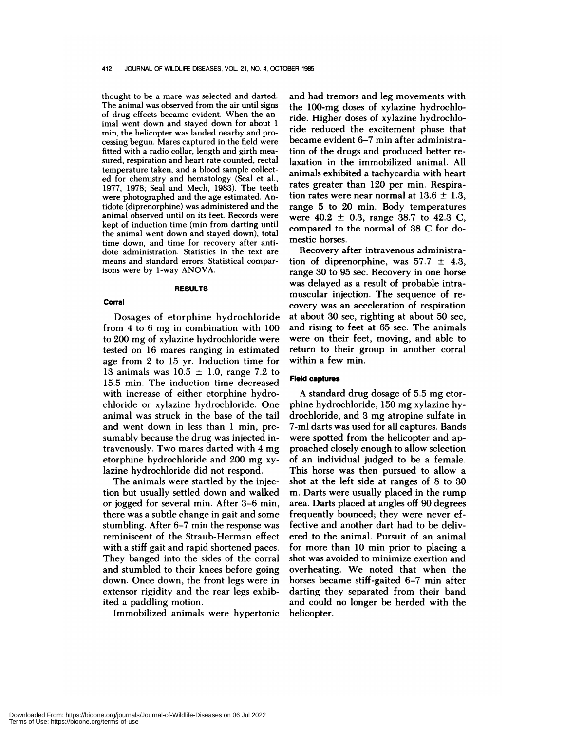thought to be a mare was selected and darted. The animal was observed from the air until signs of drug effects became evident. When the animal went down and stayed down for about 1 min, the helicopter was landed nearby and processing begun. Mares captured in the field were fitted with a radio collar, length and girth mea sured, respiration and heart rate counted, rectal temperature taken, and a blood sample collected for chemistry and hematology (Seal et al., 1977, 1978; Seal and Mech, 1983). The teeth were photographed and the age estimated. Antidote (diprenorphine) was administered and the animal observed until on its feet. Records were kept of induction time (min from darting until the animal went down and stayed down), total time down, and time for recovery after antidote administration. Statistics in the text are means and standard errors. Statistical comparisons were by 1-way ANOVA.

## **RESULTS**

**Corral**

Dosages of etorphine hydrochloride from 4 to 6 mg in combination with 100 to 200 mg of xylazine hydrochloride were tested on 16 mares ranging in estimated age from 2 to 15 yr.Induction time for 13 animals was  $10.5 \pm 1.0$ , range 7.2 to 15.5 min. The induction time decreased with increase of either etorphine hydrochloride or xylazine hydrochloride. One animal was struck in the base of the tail and went down in less than 1 min, presumably because the drug was injected intravenously. Two mares darted with 4 mg etorphine hydrochloride and 200 mg xylazine hydrochloride did not respond.

The animals were startled by the injection but usually settled down and walked or jogged for several min. After 3-6 min, there was a subtle change in gait and some stumbling. After  $6-7$  min the response was reminiscent of the Straub-Herman effect with a stiff gait and rapid shortened paces. They banged into the sides of the corral and stumbled to their knees before going down. Once down, the front legs were in extensor rigidity and the rear legs exhibited a paddling motion.

Immobilized animals were hypertonic

and had tremors and leg movements with the 100-mg doses of xylazine hydrochloride. Higher doses of xylazine hydrochloride reduced the excitement phase that became evident 6-7 min after administration of the drugs and produced better relaxation in the immobilized animal. All animals exhibited a tachycardia with heart rates greater than 120 per min. Respiration rates were near normal at  $13.6 \pm 1.3$ , range 5 to 20 min. Body temperatures were  $40.2 \pm 0.3$ , range 38.7 to 42.3 C, compared to the normal of 38 C for domestic horses.

Recovery after intravenous administration of diprenorphine, was  $57.7 \pm 4.3$ , range 30 to 95 sec. Recovery in one horse was delayed as a result of probable intramuscular injection. The sequence of re covery was an acceleration of respiration at about 30 see, righting at about 50 see, and rising to feet at 65 sec. The animals were on their feet, moving, and able to return to their group in another corral within a few min.

### **Field** captures

A standard drug dosage of 5.5 mg etorphine hydrochloride, 150 mg xylazine hydrochloride, and 3 mg atropine sulfate in 7-mi darts was used for all captures. Bands were spotted from the helicopter and approached closely enough to allow selection of an individual judged to be a female. This horse was then pursued to allow a shot at the left side at ranges of 8 to 30 m. Darts were usually placed in the rump area. Darts placed at angles off 90 degrees frequently bounced; they were never effective and another dart had to be delivered to the animal. Pursuit of an animal for more than 10 min prior to placing a shot was avoided to minimize exertion and overheating. We noted that when the horses became stiff-gaited 6-7 min after darting they separated from their band and could no longer be herded with the helicopter.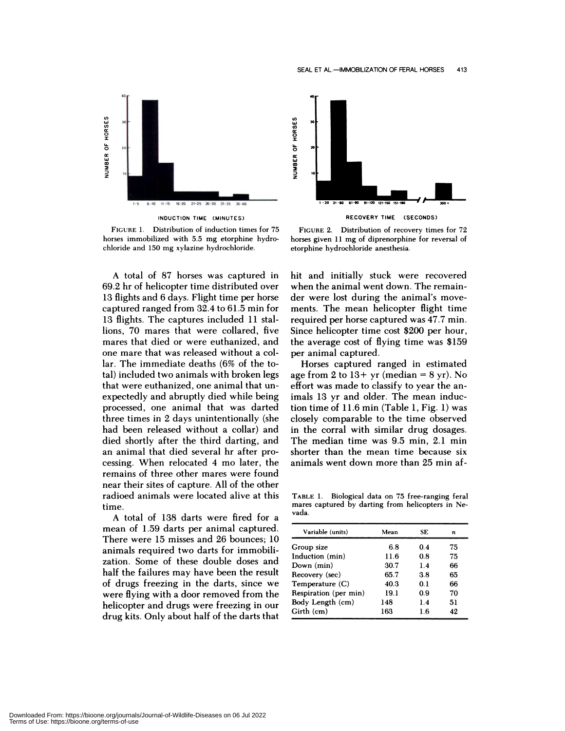

**FIGURE** 1. Distribution of induction times for 75 horses immobilized with 5.5 mg etorphine hydro chloride and 150 mg xylazine hydrochloride.

A total of 87 horses was captured in 69.2 hr of helicopter time distributed over 13 flights and 6 days. Flight time per horse captured ranged from 32.4 to 61.5 min for 13 flights. The captures included 11 stallions, 70 mares that were collared, five mares that died on were euthanized, and one mare that was released without a collar. The immediate deaths (6% of the total) included two animals with broken legs that were euthanized, one animal that un expectedly and abruptly died while being processed, one animal that was darted three times in 2 days unintentionally (she had been released without a collar) and died shortly after the third darting, and an animal that died several hr after processing. When relocated 4 mo later, the remains of three other mares were found near their sites of capture. All of the other radioed animals were located alive at this time.

A total of 138 darts were fired for a mean of 1.59 darts per animal captured. There were 15 misses and 26 bounces; 10 animals required two darts for immobilization. Some of these double doses and half the failures may have been the result of drugs freezing in the darts, since we were flying with a door removed from the helicopter and drugs were freezing in our drug kits. Only about half of the darts that



**RECOVERY TIME (SECONDS)**

FIGURE 2. Distribution of recovery times for 72 horses given 11 mg of diprenorphine for reversal of etorphine hydrochloride anesthesia.

hit and initially stuck were recovered when the animal went down. The remainder were lost during the animal's move ments. The mean helicopter flight time required per horse captured was 47.7 min. Since helicopter time cost \$200 per hour, the average cost of flying time was \$159 per animal captured.

Horses captured ranged in estimated age from 2 to  $13+$  yr (median = 8 yr). No effort was made to classify to year the animals 13 yr and older. The mean induction time of  $11.6$  min (Table 1, Fig. 1) was closely comparable to the time observed in the corral with similar drug dosages. The median time was 9.5 min, 2.1 min shorter than the mean time because six animals went down more than 25 min af-

**TABLE** 1. Biological data on 75 free-ranging feral mares captured by darting from helicopters in Ne vada.

| Variable (units)      | Mean | SE. | n   |
|-----------------------|------|-----|-----|
| Group size            | 6.8  | 0.4 | 75  |
| Induction (min)       | 11.6 | 0.8 | 75  |
| Down (min)            | 30.7 | 1.4 | 66  |
| Recovery (sec)        | 65.7 | 3.8 | 65  |
| Temperature (C)       | 40.3 | 0.1 | 66  |
| Respiration (per min) | 19.1 | 0.9 | 70  |
| Body Length (cm)      | 148  | 1.4 | 51  |
| Girth (cm)            | 163  | 1.6 | 49. |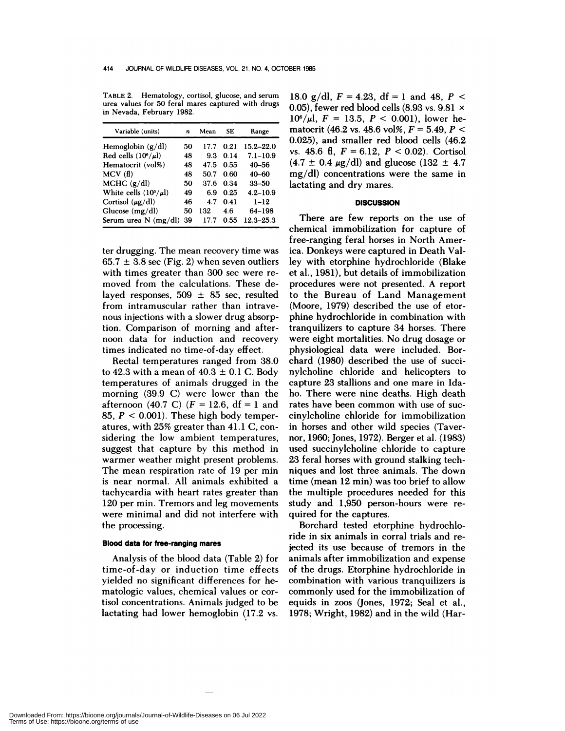**TABLE** 2. **Hematology, cortisol, glucose,** and serum urea values for 50 feral mares captured with drugs in Nevada, February 1982.

| Variable (units)           | n  | Mean | SE.  | Range         |
|----------------------------|----|------|------|---------------|
| Hemoglobin $(g/dl)$        | 50 | 177  | 0.21 | $15.2 - 22.0$ |
| Red cells $(10^6/\mu l)$   | 48 | 9.3  | 0.14 | $7.1 - 10.9$  |
| Hematocrit (vol%)          | 48 | 47.5 | 0.55 | $40 - 56$     |
| MCV(f)                     | 48 | 50.7 | 0.60 | $40 - 60$     |
| MCHC $(g/dl)$              | 50 | 37.6 | 0.34 | $33 - 50$     |
| White cells $(10^3/\mu l)$ | 49 | 6.9  | 0.25 | $4.2 - 10.9$  |
| Cortisol $(\mu g/dl)$      | 46 | 4.7  | 0.41 | $1 - 12$      |
| Glucose $(mg/dl)$          | 50 | 132  | 4.6  | 64–198        |
| Serum urea $N$ (mg/dl)     | 39 | 177  | 0.55 | $12.3 - 25.3$ |

ten drugging. The mean recovery time was  $65.7 \pm 3.8$  sec (Fig. 2) when seven outliers with times greater than 300 sec were re moved from the calculations. These delayed responses,  $509 \pm 85$  sec, resulted from intramuscular rather than intrave nous injections with a slower drug absorption. Comparison of morning and after noon data for induction and recovery times indicated no time-of-day effect.

Rectal temperatures ranged from 38.0 to 42.3 with a mean of  $40.3 \pm 0.1$  C. Body temperatures of animals drugged in the morning (39.9 C) were lower than the afternoon (40.7 C)  $(F = 12.6, df = 1$  and 85,  $P < 0.001$ ). These high body temperatures, with 25% greater than 41.1 C, con sidering the low ambient temperatures, suggest that capture by this method in warmer weather might present problems. The mean respiration rate of 19 per min is near normal. Al! animals exhibited a tachycandia with heart rates greater than 120 per min. Tremors and leg movements were minimal and did not interfere with the processing.

#### **Blood data for free-ranging mares**

Analysis of the blood data (Table 2) for time-of-day on induction time effects yielded no significant differences for hematologic values, chemical values or contisol concentrations. Animals judged to be lactating had lower hemoglobin (17.2 vs.

18.0 g/dl,  $F = 4.23$ , df = 1 and 48,  $P <$ 0.05), fewer red blood cells (8.93 vs. 9.81  $\times$  $10^6/\mu l$ ,  $F = 13.5$ ,  $P < 0.001$ ), lower hematocrit (46.2 vs. 48.6 vol%,  $F = 5.49$ ,  $P <$ 0.025), and smaller red blood cells (46.2 vs. 48.6 fi, *F* <sup>=</sup> 6.12, *P* < 0.02). Cortisol  $(4.7 \pm 0.4 \,\mu g/d)$  and glucose  $(132 \pm 4.7 \,\mu g/d)$ mg/d!) concentrations were the same in lactating and dry mares.

### **DISCUSSION**

There are few reports on the use of chemical immobilization for capture of free-ranging feral horses in North America. Donkeys were captured in Death Valley with etorphine hydrochloride (Blake et a!., 1981), but details of immobilization procedures were not presented. A report to the Bureau of Land Management (Moore, 1979) described the use of etorphine hydrochloride in combination with tranquilizers to capture 34 horses. There were eight mortalities. No drug dosage or physiological data were included. Borchard (1980) described the use of succinyleholine chloride and helicopters to capture 23 stallions and one mare in Idaho. There were nine deaths. High death rates have been common with use of sue cinylcholine chloride for immobilization in horses and other wild species (Tavernor, 1960; Jones, 1972). Bergen et a!. (1983) used suecinyleholine chloride to capture 23 feral horses with ground stalking techniques and lost three animals. The down time (mean 12 min) was too brief to allow the multiple procedures needed for this study and 1,950 person-hours were re quired for the captures.

Borchard tested etorphine hydrochloride in six animals in corral trials and rejected its use because of tremors in the animals after immobilization and expense of the drugs. Etorphine hydrochloride in combination with various tranquilizers is commonly used for the immobilization of equids in zoos (Jones, 1972; Seal et al., 1978; Wright, 1982) and in the wild (Har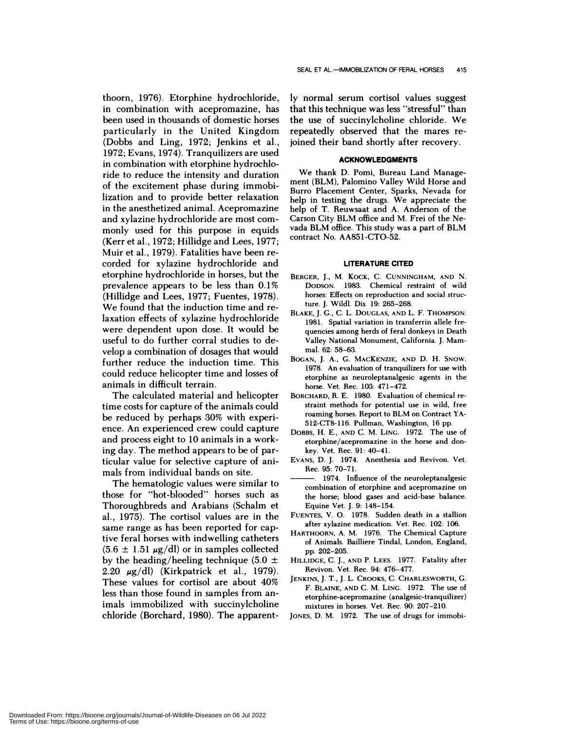thoorn, 1976). Etorphine hydrochloride, in combination with acepromazine, has been used in thousands of domestic horses particularly in the United Kingdom (Dobbs and Ling, 1972; Jenkins et a!., 1972; Evans, 1974). Tranquilizers are used in combination with etorphine hydrochloride to reduce the intensity and duration of the excitement phase during immobilization and to provide better relaxation in the anesthetized animal. Acepromazine and xylazine hydrochloride are most commonly used for this purpose in equids (Kerr et al., 1972; Hillidge and Lees,  $1977$ ; Muir et a!., 1979). Fatalities have been re corded for xylazine hydrochloride and etorphine hydrochloride in horses, but the prevalence appears to be less than 0.1% (Hillidge and Lees, 1977; Fuentes, 1978). We found that the induction time and relaxation effects of xylazine hydrochloride were dependent upon dose. It would be useful to do further corral studies to develop a combination of dosages that would further reduce the induction time. This could reduce helicopter time and losses of animals in difficult terrain.

The calculated material and helicopter time costs for capture of the animals could be reduced by perhaps 30% with experi ence. An experienced crew could capture and process eight to 10 animals in a working day. The method appears to be of particular value for selective capture of animals from individual bands on site.

The hematologic values were similar to those for "hot-blooded" horses such as Thoroughbreds and Arabians (Schalm et a!., 1975). The cortiso! values are in the same range as has been reported for captive feral horses with indwelling catheters  $(5.6 \pm 1.51 \mu g/d)$  or in samples collected by the heading/heeling technique (5.0  $\pm$ 2.20  $\mu$ g/dl) (Kirkpatrick et al., 1979). These values for cortisol are about 40% less than those found in samples from animals immobilized with succinylcholine chloride (Borchard, 1980). The apparently normal serum cortisol values suggest that this technique was less "stressful" than the use of succinylcholine chloride. We repeatedly observed that the mares rejoined their band shortly after recovery.

#### **ACKNOWLEDGMENTS**

We thank D. Pomi, Bureau Land Management (BLM), Palomino Valley Wild Horse and Burro Placement Center, Sparks, Nevada for help in testing the drugs. We appreciate the help of T. Reuwsaat and A. Anderson of the Carson City BLM office and M. Frei of the Nevada BLM office. This study was a part of BLM contract No. AA851-CTO-52.

#### **LITERATURE CITED**

- **BERGER,** J., M. K0CK, C. **CUNNINGHAM, AND** N. **DoDsoN.** 1983. Chemical restraint of wild horses: Effects on reproduction and social structure. J. Wild!. Dis. 19: 265-268.
- **BLAKE,** J. G., C. L. **DOUGLAS, AND** L. F. **THOMPSON.** 1981. Spatial variation in transferrin allele fre quencies among herds of feral donkeys in Death Valley National Monument, California. J. Mam mal. 62: 58-63.
- BOGAN, J. A., G. **MACKENZIE, AND** D. H. SNow. 1978. An evaluation of tranquilizers for use with etorphine as neuroleptanalgesic agents in the horse. Vet. Rec. 103: 471-472.
- **BORCHARD,** R. E. 1980. Evaluation of chemical re **straint methods for potential use in** wild, free roaming horses. Report to BLM on Contract YA- 512-CT8-116. Pullman, Washington, 16 pp.
- DOBBS, H. E., **AND** C. M. LING. 1972. The use of etorphine/acepromazine in the horse and donkey. Vet. Rec. 91: 40-41.
- **EVANS,** D. J. 1974. Anesthesia and Revivon. Vet. Rec. 95: 70-71.
- 1974. Influence of the neuroleptanalgesic **combination of etorphine** and acepromazine on the horse; blood gases and acid-base balance. Equine Vet. J. 9: 148-154.
- **FUENTES,** V. 0. 1978. Sudden death in a stallion after xylazine medication. Vet. Rec. 102: 106.
- HARTHOORN, A. M. 1976. The Chemical Capture of Animals. Bailliere Tindal, London, England, pp. 202-205.
- **HILLIDGE,** C. J., AND P. **LEES.** 1977. Fatality after Revivon. Vet. Rec. 94: 476-477.
- **JENKINS,** J. T., J. L. CROOKS,C. **CHARLESWORTH,** G. F. **BLAINE, AND** C. M. **LING.** 1972. The use of etorphine-acepromazine (analgesic-tranquilizer) mixtures in horses. Vet. Rec. 90: 207-210.
- **JONES,** D. M. 1972. The use of drugs for immobi-